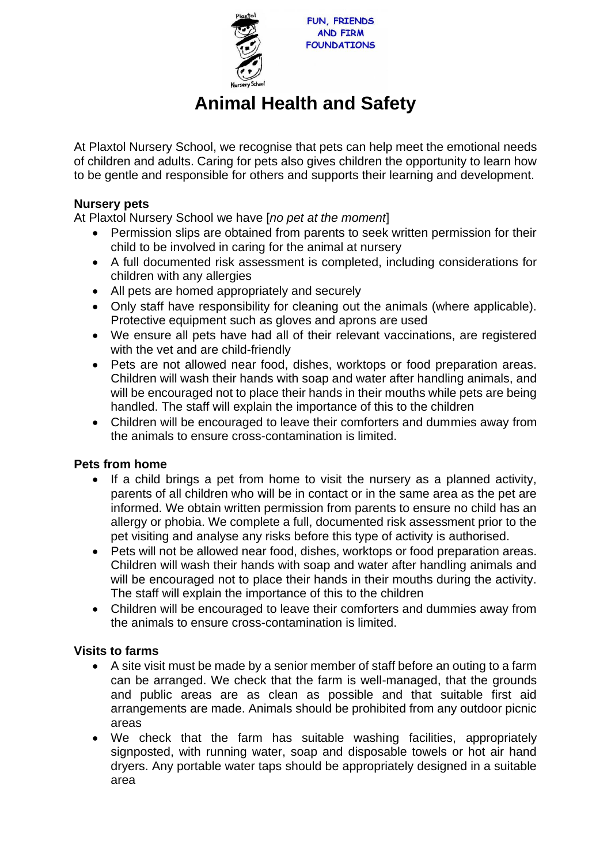

# **Animal Health and Safety**

At Plaxtol Nursery School, we recognise that pets can help meet the emotional needs of children and adults. Caring for pets also gives children the opportunity to learn how to be gentle and responsible for others and supports their learning and development.

## **Nursery pets**

At Plaxtol Nursery School we have [*no pet at the moment*]

- Permission slips are obtained from parents to seek written permission for their child to be involved in caring for the animal at nursery
- A full documented risk assessment is completed, including considerations for children with any allergies
- All pets are homed appropriately and securely
- Only staff have responsibility for cleaning out the animals (where applicable). Protective equipment such as gloves and aprons are used
- We ensure all pets have had all of their relevant vaccinations, are registered with the vet and are child-friendly
- Pets are not allowed near food, dishes, worktops or food preparation areas. Children will wash their hands with soap and water after handling animals, and will be encouraged not to place their hands in their mouths while pets are being handled. The staff will explain the importance of this to the children
- Children will be encouraged to leave their comforters and dummies away from the animals to ensure cross-contamination is limited.

## **Pets from home**

- If a child brings a pet from home to visit the nursery as a planned activity, parents of all children who will be in contact or in the same area as the pet are informed. We obtain written permission from parents to ensure no child has an allergy or phobia. We complete a full, documented risk assessment prior to the pet visiting and analyse any risks before this type of activity is authorised.
- Pets will not be allowed near food, dishes, worktops or food preparation areas. Children will wash their hands with soap and water after handling animals and will be encouraged not to place their hands in their mouths during the activity. The staff will explain the importance of this to the children
- Children will be encouraged to leave their comforters and dummies away from the animals to ensure cross-contamination is limited.

## **Visits to farms**

- A site visit must be made by a senior member of staff before an outing to a farm can be arranged. We check that the farm is well-managed, that the grounds and public areas are as clean as possible and that suitable first aid arrangements are made. Animals should be prohibited from any outdoor picnic areas
- We check that the farm has suitable washing facilities, appropriately signposted, with running water, soap and disposable towels or hot air hand dryers. Any portable water taps should be appropriately designed in a suitable area